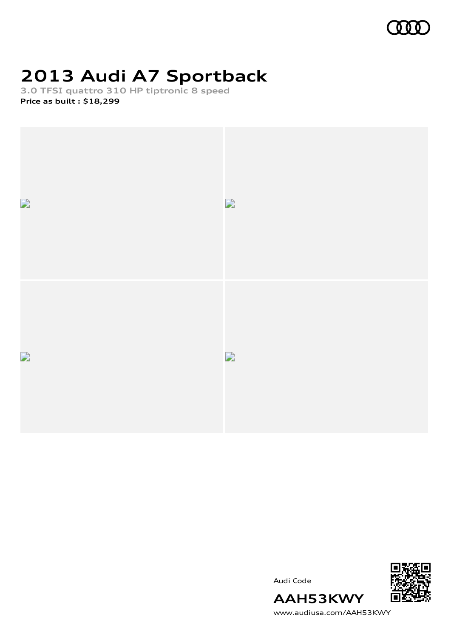

# **2013 Audi A7 Sportback**

**3.0 TFSI quattro 310 HP tiptronic 8 speed Price as built [:](#page-10-0) \$18,299**



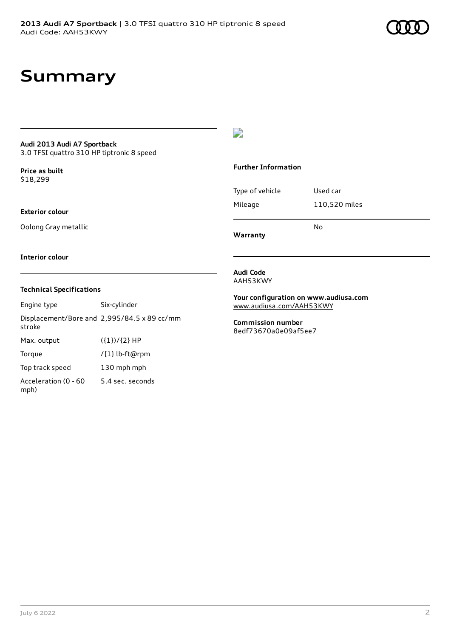## **Summary**

### **Audi 2013 Audi A7 Sportback**

3.0 TFSI quattro 310 HP tiptronic 8 speed

**Price as buil[t](#page-10-0)** \$18,299

### **Exterior colour**

Oolong Gray metallic

### $\overline{\phantom{a}}$

### **Further Information**

|                 | N٥            |
|-----------------|---------------|
| Mileage         | 110,520 miles |
| Type of vehicle | Used car      |

**Warranty**

#### **Interior colour**

### **Technical Specifications**

| Engine type                  | Six-cylinder                                |
|------------------------------|---------------------------------------------|
| stroke                       | Displacement/Bore and 2,995/84.5 x 89 cc/mm |
| Max. output                  | $({1})/{2}$ HP                              |
| Torque                       | /{1} lb-ft@rpm                              |
| Top track speed              | 130 mph mph                                 |
| Acceleration (0 - 60<br>mph) | 5.4 sec. seconds                            |

#### **Audi Code** AAH53KWY

**Your configuration on www.audiusa.com** [www.audiusa.com/AAH53KWY](https://www.audiusa.com/AAH53KWY)

**Commission number** 8edf73670a0e09af5ee7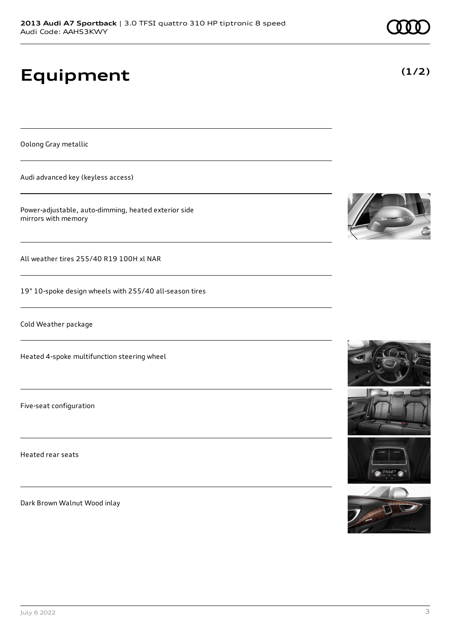# **Equipment**

Oolong Gray metallic

Audi advanced key (keyless access)

Power-adjustable, auto-dimming, heated exterior side mirrors with memory

All weather tires 255/40 R19 100H xl NAR

19" 10-spoke design wheels with 255/40 all-season tires

Cold Weather package

Heated 4-spoke multifunction steering wheel

Five-seat configuration

Heated rear seats

Dark Brown Walnut Wood inlay









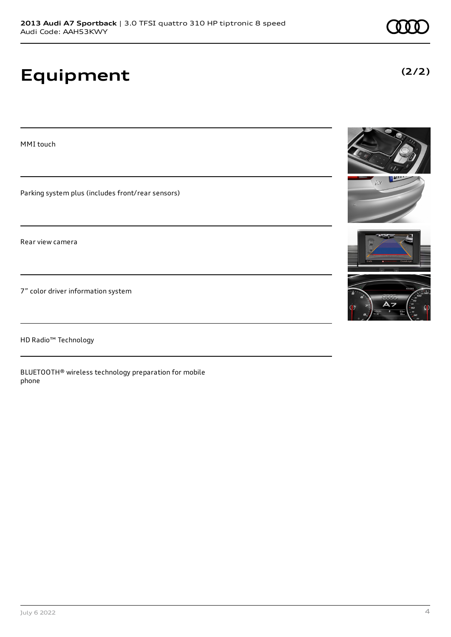# **Equipment**

**(2/2)**



HD Radio™ Technology

BLUETOOTH® wireless technology preparation for mobile phone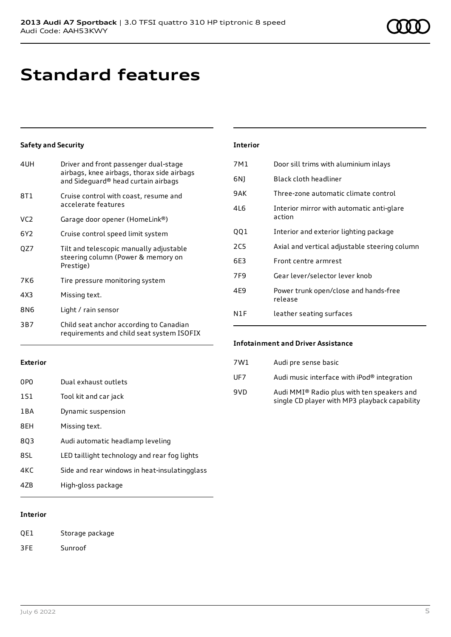## **Standard features**

### **Safety and Security**

| 4UH             | Driver and front passenger dual-stage<br>airbags, knee airbags, thorax side airbags<br>and Sideguard® head curtain airbags |
|-----------------|----------------------------------------------------------------------------------------------------------------------------|
| 8T1             | Cruise control with coast, resume and<br>accelerate features                                                               |
| VC <sub>2</sub> | Garage door opener (HomeLink®)                                                                                             |
| 6Y <sub>2</sub> | Cruise control speed limit system                                                                                          |
| QZ7             | Tilt and telescopic manually adjustable<br>steering column (Power & memory on<br>Prestige)                                 |
| 7K6             | Tire pressure monitoring system                                                                                            |
| 4X3             | Missing text.                                                                                                              |
| 8N6             | Light / rain sensor                                                                                                        |
| 3B7             | Child seat anchor according to Canadian<br>requirements and child seat system ISOFIX                                       |

| Interior |  |  |  |
|----------|--|--|--|
|          |  |  |  |

| 7M1             | Door sill trims with aluminium inlays               |
|-----------------|-----------------------------------------------------|
| 6N)             | Black cloth headliner                               |
| 9AK             | Three-zone automatic climate control                |
| 416             | Interior mirror with automatic anti-glare<br>action |
| QQ1             | Interior and exterior lighting package              |
| 2C <sub>5</sub> | Axial and vertical adjustable steering column       |
| 6E3             | Front centre armrest                                |
| 7F <sub>9</sub> | Gear lever/selector lever knob                      |
| 4E9             | Power trunk open/close and hands-free<br>release    |
| N1F             | leather seating surfaces                            |
|                 |                                                     |

#### **Exterior**

| 0PO   | Dual exhaust outlets                          |
|-------|-----------------------------------------------|
| 1S1   | Tool kit and car jack                         |
| 1 B A | Dynamic suspension                            |
| 8EH   | Missing text.                                 |
| 803   | Audi automatic headlamp leveling              |
| 8SL   | LED taillight technology and rear fog lights  |
| 4KC   | Side and rear windows in heat-insulatingglass |
| 47B   | High-gloss package                            |

### **Interior**

- QE1 Storage package
- 3FE Sunroof

### **Infotainment and Driver Assistance**

| 7W1 | Audi pre sense basic                                                                        |
|-----|---------------------------------------------------------------------------------------------|
| UF7 | Audi music interface with iPod® integration                                                 |
| 9VD | Audi MMI® Radio plus with ten speakers and<br>single CD player with MP3 playback capability |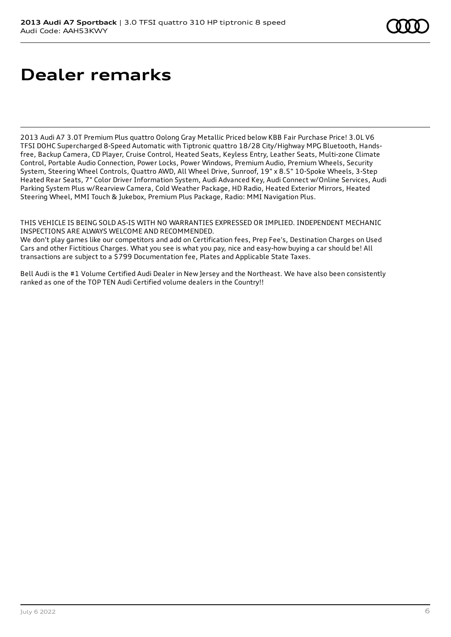# **Dealer remarks**

2013 Audi A7 3.0T Premium Plus quattro Oolong Gray Metallic Priced below KBB Fair Purchase Price! 3.0L V6 TFSI DOHC Supercharged 8-Speed Automatic with Tiptronic quattro 18/28 City/Highway MPG Bluetooth, Handsfree, Backup Camera, CD Player, Cruise Control, Heated Seats, Keyless Entry, Leather Seats, Multi-zone Climate Control, Portable Audio Connection, Power Locks, Power Windows, Premium Audio, Premium Wheels, Security System, Steering Wheel Controls, Quattro AWD, All Wheel Drive, Sunroof, 19" x 8.5" 10-Spoke Wheels, 3-Step Heated Rear Seats, 7" Color Driver Information System, Audi Advanced Key, Audi Connect w/Online Services, Audi Parking System Plus w/Rearview Camera, Cold Weather Package, HD Radio, Heated Exterior Mirrors, Heated Steering Wheel, MMI Touch & Jukebox, Premium Plus Package, Radio: MMI Navigation Plus.

THIS VEHICLE IS BEING SOLD AS-IS WITH NO WARRANTIES EXPRESSED OR IMPLIED. INDEPENDENT MECHANIC INSPECTIONS ARE ALWAYS WELCOME AND RECOMMENDED.

We don't play games like our competitors and add on Certification fees, Prep Fee's, Destination Charges on Used Cars and other Fictitious Charges. What you see is what you pay, nice and easy-how buying a car should be! All transactions are subject to a \$799 Documentation fee, Plates and Applicable State Taxes.

Bell Audi is the #1 Volume Certified Audi Dealer in New Jersey and the Northeast. We have also been consistently ranked as one of the TOP TEN Audi Certified volume dealers in the Country!!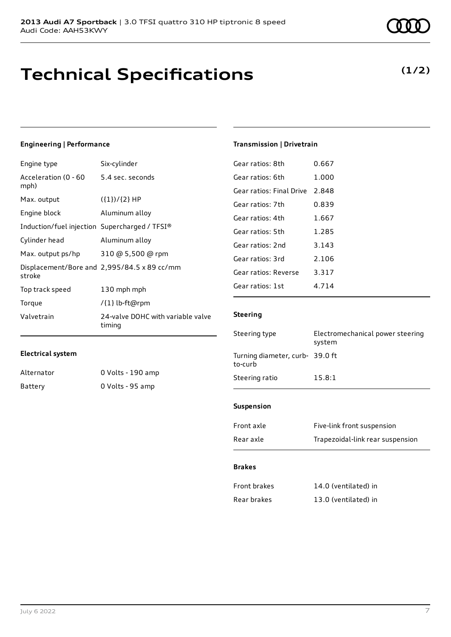## **Technical Specifications**

### **Engineering | Performance**

| Engine type                                   | Six-cylinder                                |
|-----------------------------------------------|---------------------------------------------|
| Acceleration (0 - 60<br>mph)                  | 5.4 sec. seconds                            |
| Max. output                                   | $({1})/{2}$ HP                              |
| Engine block                                  | Aluminum alloy                              |
| Induction/fuel injection Supercharged / TFSI® |                                             |
| Cylinder head                                 | Aluminum alloy                              |
| Max. output ps/hp                             | 310 @ 5,500 @ rpm                           |
| stroke                                        | Displacement/Bore and 2,995/84.5 x 89 cc/mm |
| Top track speed                               | 130 mph mph                                 |
| Torque                                        | /{1} lb-ft@rpm                              |
| Valvetrain                                    | 24-valve DOHC with variable valve<br>timing |

### **Electrical system**

| Alternator | 0 Volts - 190 amp |
|------------|-------------------|
| Battery    | 0 Volts - 95 amp  |

### July 6 2022 7

| Gear ratios: 8th         | 0.667   |
|--------------------------|---------|
| Gear ratios: 6th         | 1.000   |
| Gear ratios: Final Drive | 2.848   |
| Gear ratios: 7th         | 0.839   |
| Gear ratios: 4th         | 1.667   |
| Gear ratios: 5th         | 1.285   |
| Gear ratios: 2nd         | 3.143   |
| Gear ratios: 3rd         | 2.106   |
| Gear ratios: Reverse     | 3.317   |
| Gear ratios: 1st         | 4 7 1 4 |

**Transmission | Drivetrain**

### **Steering**

| Steering type                             | Electromechanical power steering<br>system |
|-------------------------------------------|--------------------------------------------|
| Turning diameter, curb-39.0 ft<br>to-curb |                                            |
| Steering ratio                            | 15.8:1                                     |
|                                           |                                            |

#### **Suspension**

| Front axle | Five-link front suspension       |
|------------|----------------------------------|
| Rear axle  | Trapezoidal-link rear suspension |

### **Brakes**

| Front brakes | 14.0 (ventilated) in |
|--------------|----------------------|
| Rear brakes  | 13.0 (ventilated) in |

### **(1/2)**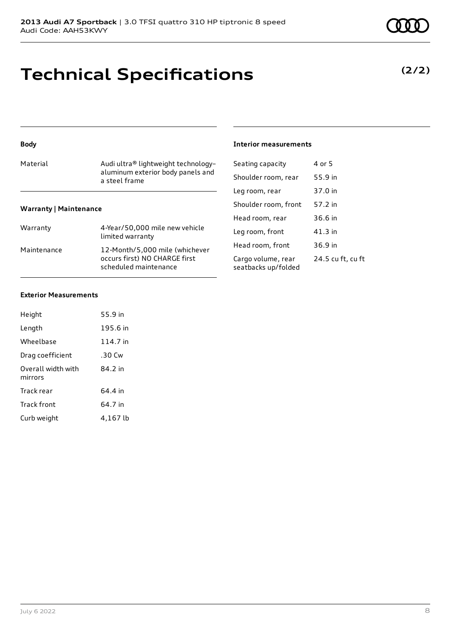# **Technical Specifications**

### **(2/2)**

### Material Material Audi ultra® lightweight technologyaluminum exterior body panels and a steel frame **Warranty | Maintenance** Warranty 4-Year/50,000 mile new vehicle limited warranty Maintenance 12-Month/5,000 mile (whichever occurs first) NO CHARGE first scheduled maintenance

| Seating capacity     | 4 or 5  |
|----------------------|---------|
| Shoulder room, rear  | 55.9 in |
| Leg room, rear       | 37.0 in |
| Shoulder room, front | 57.2 in |
| Head room, rear      | 36.6 in |
|                      |         |

**Interior measurements**

Leg room, front 41.3 in Head room, front 36.9 in Cargo volume, rear seatbacks up/folded 24.5 cu ft, cu ft

### **Exterior Measurements**

**Body**

| Height                        | 55.9 in  |
|-------------------------------|----------|
| Length                        | 195.6 in |
| Wheelbase                     | 114.7 in |
| Drag coefficient              | .30 Cw   |
| Overall width with<br>mirrors | 84.2 in  |
| Track rear                    | 64.4 in  |
| Track front                   | 64.7 in  |
| Curb weight                   | 4,167 lb |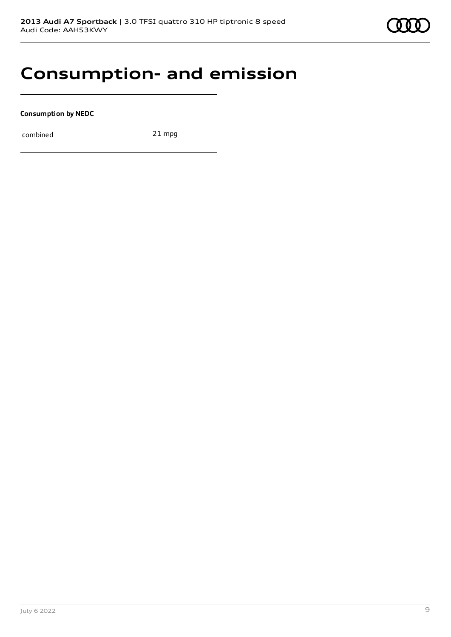## **Consumption- and emission**

**Consumption by NEDC**

combined 21 mpg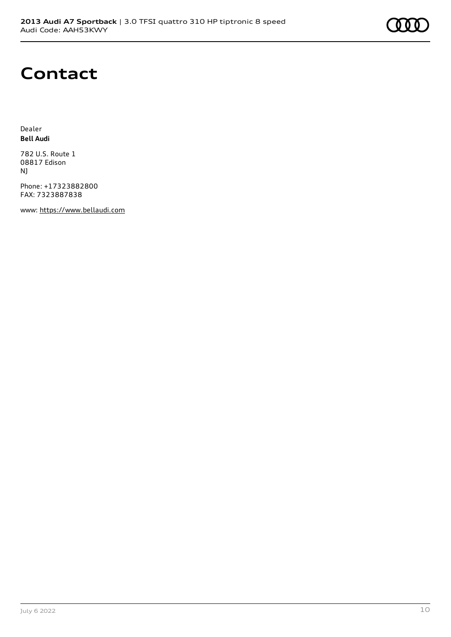

## **Contact**

Dealer **Bell Audi**

782 U.S. Route 1 08817 Edison NJ

Phone: +17323882800 FAX: 7323887838

www: [https://www.bellaudi.com](https://www.bellaudi.com/)